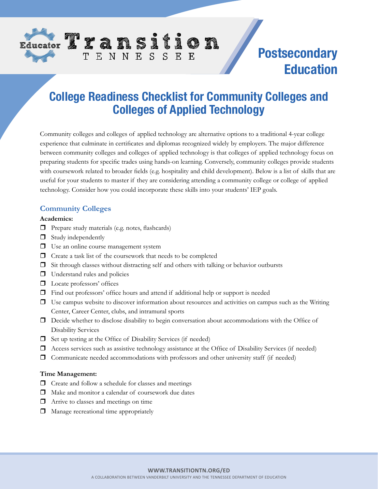

# **Postsecondary Education**

# **College Readiness Checklist for Community Colleges and Colleges of Applied Technology**

Community colleges and colleges of applied technology are alternative options to a traditional 4-year college experience that culminate in certificates and diplomas recognized widely by employers. The major difference between community colleges and colleges of applied technology is that colleges of applied technology focus on preparing students for specific trades using hands-on learning. Conversely, community colleges provide students with coursework related to broader fields (e.g. hospitality and child development). Below is a list of skills that are useful for your students to master if they are considering attending a community college or college of applied technology. Consider how you could incorporate these skills into your students' IEP goals.

### **Community Colleges**

#### **Academics:**

- $\Box$  Prepare study materials (e.g. notes, flashcards)
- $\Box$  Study independently
- $\Box$  Use an online course management system
- $\Box$  Create a task list of the coursework that needs to be completed

TENNESSEE

- $\Box$  Sit through classes without distracting self and others with talking or behavior outbursts
- $\Box$  Understand rules and policies
- $\Box$  Locate professors' offices
- $\Box$  Find out professors' office hours and attend if additional help or support is needed
- $\Box$  Use campus website to discover information about resources and activities on campus such as the Writing Center, Career Center, clubs, and intramural sports
- $\Box$  Decide whether to disclose disability to begin conversation about accommodations with the Office of Disability Services
- $\Box$  Set up testing at the Office of Disability Services (if needed)
- $\Box$  Access services such as assistive technology assistance at the Office of Disability Services (if needed)
- $\Box$  Communicate needed accommodations with professors and other university staff (if needed)

#### **Time Management:**

- $\Box$  Create and follow a schedule for classes and meetings
- $\Box$  Make and monitor a calendar of coursework due dates
- $\Box$  Arrive to classes and meetings on time
- $\Box$  Manage recreational time appropriately

#### **WWW.TRANSITIONTN.ORG/ED**